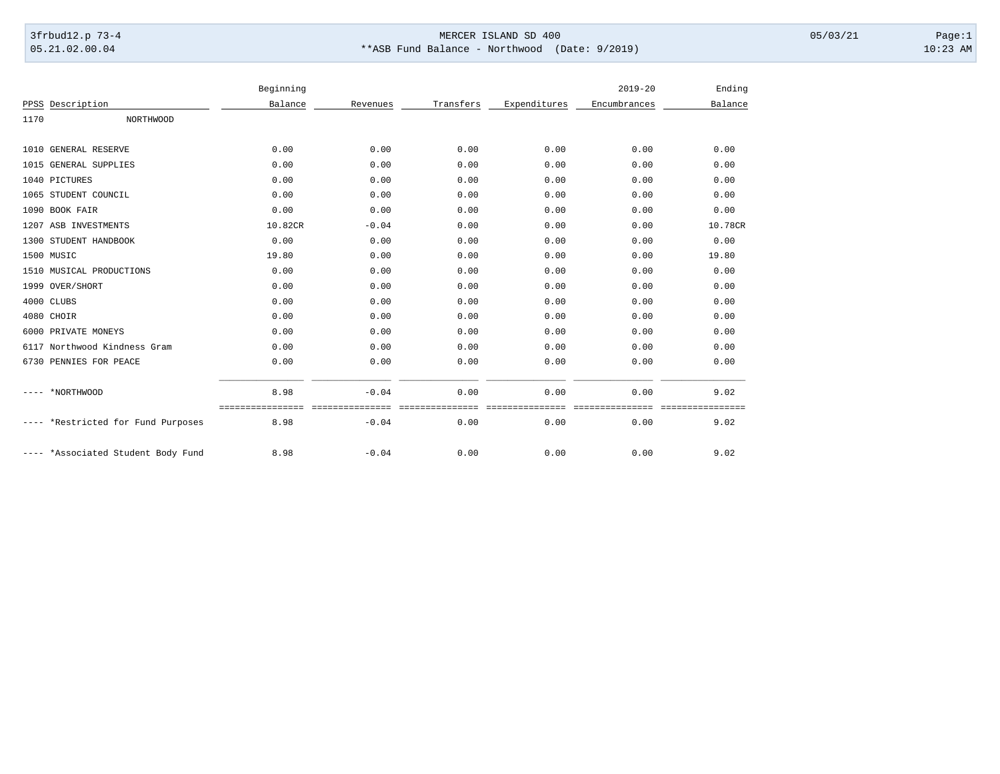## 3frbud12.p 73-4 Page:1 Page:1 05.21.02.00.04 \*\*ASB Fund Balance - Northwood (Date: 9/2019) 10:23 AM

|      |                               | Beginning |          |           |              | $2019 - 20$  | Ending  |
|------|-------------------------------|-----------|----------|-----------|--------------|--------------|---------|
|      | PPSS Description              | Balance   | Revenues | Transfers | Expenditures | Encumbrances | Balance |
| 1170 | <b>NORTHWOOD</b>              |           |          |           |              |              |         |
|      | 1010 GENERAL RESERVE          | 0.00      | 0.00     | 0.00      | 0.00         | 0.00         | 0.00    |
|      | 1015 GENERAL SUPPLIES         | 0.00      | 0.00     | 0.00      | 0.00         | 0.00         | 0.00    |
|      | 1040 PICTURES                 | 0.00      | 0.00     | 0.00      | 0.00         | 0.00         | 0.00    |
|      | 1065 STUDENT COUNCIL          | 0.00      | 0.00     | 0.00      | 0.00         | 0.00         | 0.00    |
|      | 1090 BOOK FAIR                | 0.00      | 0.00     | 0.00      | 0.00         | 0.00         | 0.00    |
|      | 1207 ASB INVESTMENTS          | 10.82CR   | $-0.04$  | 0.00      | 0.00         | 0.00         | 10.78CR |
|      | 1300 STUDENT HANDBOOK         | 0.00      | 0.00     | 0.00      | 0.00         | 0.00         | 0.00    |
|      | 1500 MUSIC                    | 19.80     | 0.00     | 0.00      | 0.00         | 0.00         | 19.80   |
|      | 1510 MUSICAL PRODUCTIONS      | 0.00      | 0.00     | 0.00      | 0.00         | 0.00         | 0.00    |
|      | 1999 OVER/SHORT               | 0.00      | 0.00     | 0.00      | 0.00         | 0.00         | 0.00    |
|      | 4000 CLUBS                    | 0.00      | 0.00     | 0.00      | 0.00         | 0.00         | 0.00    |
|      | 4080 CHOIR                    | 0.00      | 0.00     | 0.00      | 0.00         | 0.00         | 0.00    |
|      | 6000 PRIVATE MONEYS           | 0.00      | 0.00     | 0.00      | 0.00         | 0.00         | 0.00    |
|      | 6117 Northwood Kindness Gram  | 0.00      | 0.00     | 0.00      | 0.00         | 0.00         | 0.00    |
|      | 6730 PENNIES FOR PEACE        | 0.00      | 0.00     | 0.00      | 0.00         | 0.00         | 0.00    |
|      | *NORTHWOOD                    | 8.98      | $-0.04$  | 0.00      | 0.00         | 0.00         | 9.02    |
|      | *Restricted for Fund Purposes | 8.98      | $-0.04$  | 0.00      | 0.00         | 0.00         | 9.02    |
|      | *Associated Student Body Fund | 8.98      | $-0.04$  | 0.00      | 0.00         | 0.00         | 9.02    |